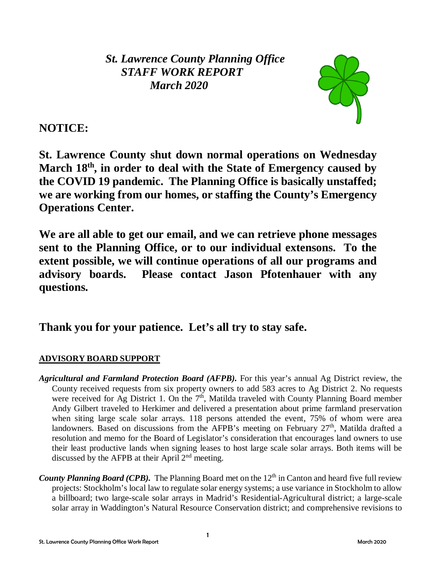*St. Lawrence County Planning Office STAFF WORK REPORT March 2020*



# **NOTICE:**

**St. Lawrence County shut down normal operations on Wednesday March 18th, in order to deal with the State of Emergency caused by the COVID 19 pandemic. The Planning Office is basically unstaffed; we are working from our homes, or staffing the County's Emergency Operations Center.** 

**We are all able to get our email, and we can retrieve phone messages sent to the Planning Office, or to our individual extensons. To the extent possible, we will continue operations of all our programs and advisory boards. Please contact Jason Pfotenhauer with any questions.**

# **Thank you for your patience. Let's all try to stay safe.**

# **ADVISORY BOARD SUPPORT**

- *Agricultural and Farmland Protection Board (AFPB).* For this year's annual Ag District review, the County received requests from six property owners to add 583 acres to Ag District 2. No requests were received for Ag District 1. On the  $7<sup>th</sup>$ , Matilda traveled with County Planning Board member Andy Gilbert traveled to Herkimer and delivered a presentation about prime farmland preservation when siting large scale solar arrays. 118 persons attended the event, 75% of whom were area landowners. Based on discussions from the AFPB's meeting on February 27<sup>th</sup>, Matilda drafted a resolution and memo for the Board of Legislator's consideration that encourages land owners to use their least productive lands when signing leases to host large scale solar arrays. Both items will be discussed by the AFPB at their April 2<sup>nd</sup> meeting.
- *County Planning Board (CPB).* The Planning Board met on the 12<sup>th</sup> in Canton and heard five full review projects: Stockholm's local law to regulate solar energy systems; a use variance in Stockholm to allow a billboard; two large-scale solar arrays in Madrid's Residential-Agricultural district; a large-scale solar array in Waddington's Natural Resource Conservation district; and comprehensive revisions to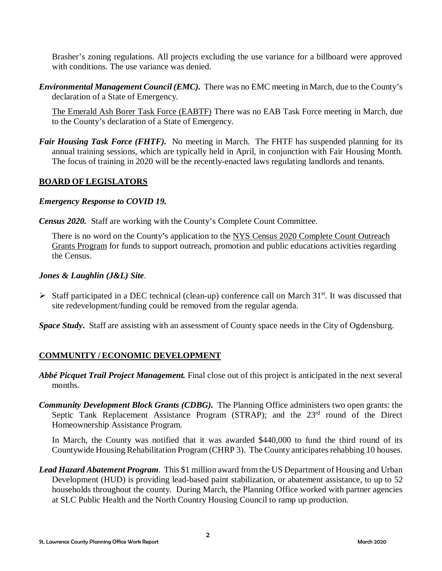Brasher's zoning regulations. All projects excluding the use variance for a billboard were approved with conditions. The use variance was denied.

*Environmental Management Council (EMC).* There was no EMC meeting in March, due to the County's declaration of a State of Emergency.

The Emerald Ash Borer Task Force (EABTF) There was no EAB Task Force meeting in March, due to the County's declaration of a State of Emergency.

*Fair Housing Task Force (FHTF).* No meeting in March. The FHTF has suspended planning for its annual training sessions, which are typically held in April, in conjunction with Fair Housing Month. The focus of training in 2020 will be the recently-enacted laws regulating landlords and tenants.

#### **BOARD OF LEGISLATORS**

#### *Emergency Response to COVID 19.*

*Census 2020.* Staff are working with the County's Complete Count Committee.

There is no word on the County's application to the NYS Census 2020 Complete Count Outreach Grants Program for funds to support outreach, promotion and public educations activities regarding the Census.

#### *Jones & Laughlin (J&L) Site*.

 $\triangleright$  Staff participated in a DEC technical (clean-up) conference call on March 31<sup>st</sup>. It was discussed that site redevelopment/funding could be removed from the regular agenda.

*Space Study***.** Staff are assisting with an assessment of County space needs in the City of Ogdensburg.

### **COMMUNITY / ECONOMIC DEVELOPMENT**

- *Abbé Picquet Trail Project Management.* Final close out of this project is anticipated in the next several months.
- *Community Development Block Grants (CDBG).* The Planning Office administers two open grants: the Septic Tank Replacement Assistance Program  $(STRAP)$ ; and the  $23<sup>rd</sup>$  round of the Direct Homeownership Assistance Program.

In March, the County was notified that it was awarded \$440,000 to fund the third round of its Countywide Housing Rehabilitation Program (CHRP 3). The County anticipates rehabbing 10 houses.

*Lead Hazard Abatement Program*. This \$1 million award from the US Department of Housing and Urban Development (HUD) is providing lead-based paint stabilization, or abatement assistance, to up to 52 households throughout the county. During March, the Planning Office worked with partner agencies at SLC Public Health and the North Country Housing Council to ramp up production.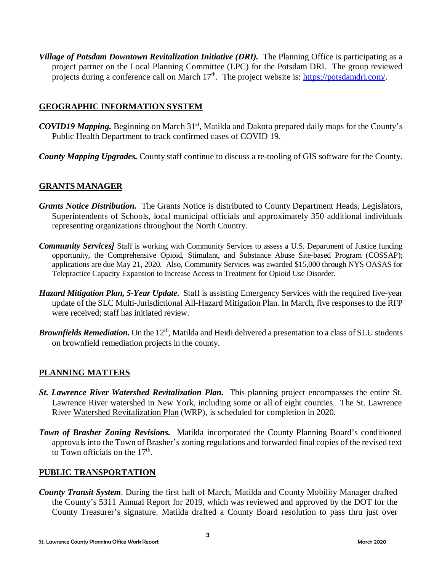*Village of Potsdam Downtown Revitalization Initiative (DRI).* The Planning Office is participating as a project partner on the Local Planning Committee (LPC) for the Potsdam DRI. The group reviewed projects during a conference call on March  $17<sup>th</sup>$ . The project website is: [https://potsdamdri.com/.](https://potsdamdri.com/)

### **GEOGRAPHIC INFORMATION SYSTEM**

- *COVID19 Mapping.* Beginning on March 31<sup>st</sup>, Matilda and Dakota prepared daily maps for the County's Public Health Department to track confirmed cases of COVID 19.
- *County Mapping Upgrades.* County staff continue to discuss a re-tooling of GIS software for the County.

## **GRANTS MANAGER**

- *Grants Notice Distribution.* The Grants Notice is distributed to County Department Heads, Legislators, Superintendents of Schools, local municipal officials and approximately 350 additional individuals representing organizations throughout the North Country.
- *Community Services]* Staff is working with Community Services to assess a U.S. Department of Justice funding opportunity, the Comprehensive Opioid, Stimulant, and Substance Abuse Site-based Program (COSSAP); applications are due May 21, 2020. Also, Community Services was awarded \$15,000 through NYS OASAS for Telepractice Capacity Expansion to Increase Access to Treatment for Opioid Use Disorder.
- *Hazard Mitigation Plan, 5-Year Update*. Staff is assisting Emergency Services with the required five-year update of the SLC Multi-Jurisdictional All-Hazard Mitigation Plan. In March, five responses to the RFP were received; staff has initiated review.
- **Brownfields Remediation.** On the  $12<sup>th</sup>$ , Matilda and Heidi delivered a presentation to a class of SLU students on brownfield remediation projects in the county.

### **PLANNING MATTERS**

- *St. Lawrence River Watershed Revitalization Plan.* This planning project encompasses the entire St. Lawrence River watershed in New York, including some or all of eight counties. The St. Lawrence River Watershed Revitalization Plan (WRP), is scheduled for completion in 2020.
- *Town of Brasher Zoning Revisions.* Matilda incorporated the County Planning Board's conditioned approvals into the Town of Brasher's zoning regulations and forwarded final copies of the revised text to Town officials on the  $17<sup>th</sup>$ .

### **PUBLIC TRANSPORTATION**

*County Transit System*. During the first half of March, Matilda and County Mobility Manager drafted the County's 5311 Annual Report for 2019, which was reviewed and approved by the DOT for the County Treasurer's signature. Matilda drafted a County Board resolution to pass thru just over